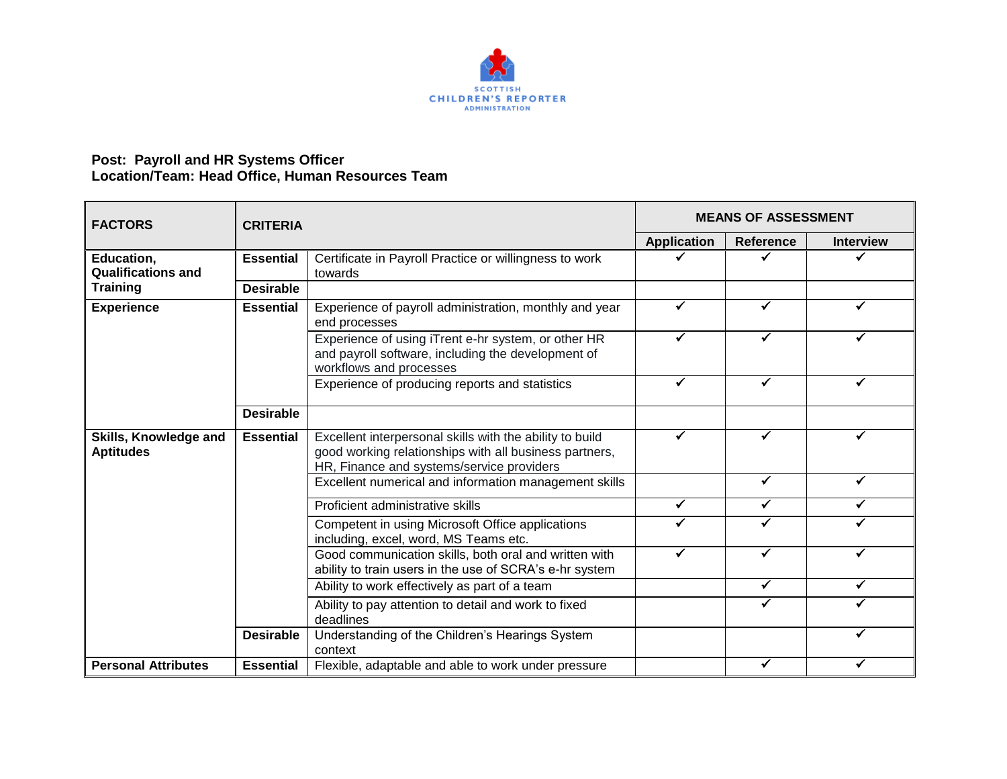

## **Post: Payroll and HR Systems Officer Location/Team: Head Office, Human Resources Team**

| <b>FACTORS</b>                                             | <b>CRITERIA</b>  |                                                                                                                                                                 | <b>MEANS OF ASSESSMENT</b> |                  |                  |
|------------------------------------------------------------|------------------|-----------------------------------------------------------------------------------------------------------------------------------------------------------------|----------------------------|------------------|------------------|
|                                                            |                  |                                                                                                                                                                 | <b>Application</b>         | <b>Reference</b> | <b>Interview</b> |
| Education,<br><b>Qualifications and</b><br><b>Training</b> | <b>Essential</b> | Certificate in Payroll Practice or willingness to work<br>towards                                                                                               | ✓                          | ✔                | ✓                |
|                                                            | <b>Desirable</b> |                                                                                                                                                                 |                            |                  |                  |
| <b>Experience</b>                                          | <b>Essential</b> | Experience of payroll administration, monthly and year<br>end processes                                                                                         | ✓                          | ✔                |                  |
|                                                            |                  | Experience of using iTrent e-hr system, or other HR<br>and payroll software, including the development of<br>workflows and processes                            | ✓                          |                  |                  |
|                                                            |                  | Experience of producing reports and statistics                                                                                                                  | ✓                          | ✓                | ✓                |
|                                                            | <b>Desirable</b> |                                                                                                                                                                 |                            |                  |                  |
| Skills, Knowledge and<br><b>Aptitudes</b>                  | <b>Essential</b> | Excellent interpersonal skills with the ability to build<br>good working relationships with all business partners,<br>HR, Finance and systems/service providers | ✔                          | ✔                |                  |
|                                                            |                  | Excellent numerical and information management skills                                                                                                           |                            | ✔                | ✔                |
|                                                            |                  | Proficient administrative skills                                                                                                                                | ✓                          | ✔                |                  |
|                                                            |                  | Competent in using Microsoft Office applications<br>including, excel, word, MS Teams etc.                                                                       | ✔                          | ✓                |                  |
|                                                            |                  | Good communication skills, both oral and written with<br>ability to train users in the use of SCRA's e-hr system                                                | $\checkmark$               | $\checkmark$     | ✓                |
|                                                            |                  | Ability to work effectively as part of a team                                                                                                                   |                            | ✓                | ✓                |
|                                                            |                  | Ability to pay attention to detail and work to fixed<br>deadlines                                                                                               |                            |                  |                  |
|                                                            | <b>Desirable</b> | Understanding of the Children's Hearings System<br>context                                                                                                      |                            |                  |                  |
| <b>Personal Attributes</b>                                 | <b>Essential</b> | Flexible, adaptable and able to work under pressure                                                                                                             |                            |                  |                  |